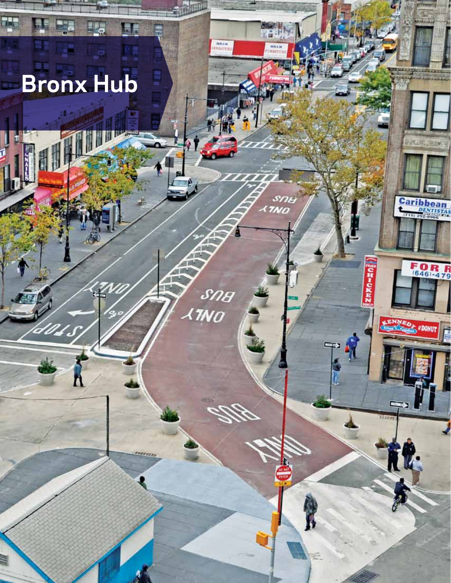# **Bronx Hub**

ΨH

d, e

מ

**RVS** 

Á

Sna

**TNO** 

FE

Ξü

1

46 Sustainable Streets Index 2009

画

**HALL** 

nu,

**HALLS** 

SNE<br>MO

è

f,

**Caribbean** 

FOR R

**ODONUT** 

KE.

 $\boldsymbol{r}$ 

 $\frac{1}{2}\sum_{i=1}^{n} \frac{1}{2} \sum_{i=1}^{n} \frac{1}{2} \sum_{i=1}^{n} \frac{1}{2} \sum_{i=1}^{n} \frac{1}{2} \sum_{i=1}^{n} \frac{1}{2} \sum_{i=1}^{n} \frac{1}{2} \sum_{i=1}^{n} \frac{1}{2} \sum_{i=1}^{n} \frac{1}{2} \sum_{i=1}^{n} \frac{1}{2} \sum_{i=1}^{n} \frac{1}{2} \sum_{i=1}^{n} \frac{1}{2} \sum_{i=1}^{n} \frac{1}{2} \sum_{i=1}^{n}$ 

 $\mathcal{R}$ 

 $\frac{1}{2}$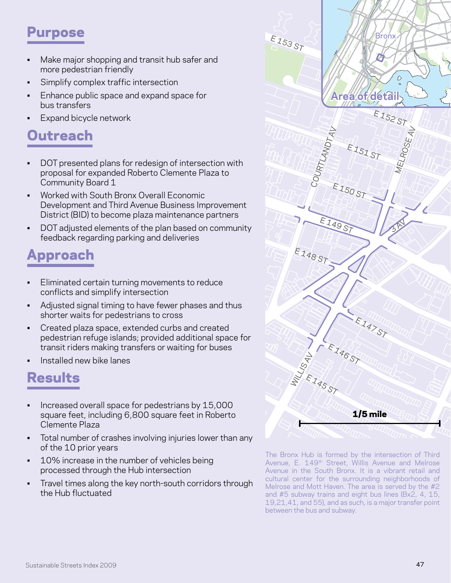## Purpose

- Make major shopping and transit hub safer and more pedestrian friendly
- Simplify complex traffic intersection
- • Enhance public space and expand space for bus transfers e for<br>
- Expand bicycle network

# **Outreach**

- DOT presented plans for redesign of intersection with proposal for expanded Roberto Clemente Plaza to Community Board 1
- • Worked with South Bronx Overall Economic Development and Third Avenue Business Improvement District (BID) to become plaza maintenance partners
- • DOT adjusted elements of the plan based on community feedback regarding parking and deliveries

# Approach

- **Eliminated certain turning movements to reduce** conflicts and simplify intersection
- Adjusted signal timing to have fewer phases and thus shorter waits for pedestrians to cross
- Created plaza space, extended curbs and created pedestrian refuge islands; provided additional space for transit riders making transfers or waiting for buses
- Installed new bike lanes

# Results

- • Increased overall space for pedestrians by 15,000 E 143 ST square feet, including 6,800 square feet in Roberto Clemente Plaza LJ,000<br>Roberto
- Total number of crashes involving injuries lower than any of the 10 prior years
- 10% increase in the number of vehicles being processed through the Hub intersection
- processed through the Hub intersection<br>Travel times along the key north-south corridors through the Hub fluctuated



Ave<br>**Jh** Cult<br>Meli The Bronx Hub is formed by the intersection of Third Avenue, E. 149<sup>th</sup> Street, Willis Avenue and Melrose Avenue in the South Bronx. It is a vibrant retail and cultural center for the surrounding neighborhoods of Melrose and Mott Haven. The area is served by the #2 and #5 subway trains and eight bus lines (Bx2, 4, 15, 19,21,41, and 55), and as such, is a major transfer point between the bus and subway.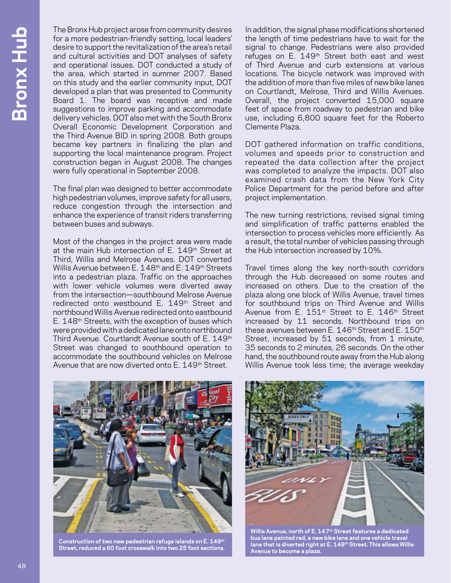The Bronx Hub project arose from community desires for a more pedestrian-friendly setting, local leaders' desire to support the revitalization of the area's retail and cultural activities and DOT analyses of safety and operational issues. DOT conducted a study of the area, which started in summer 2007. Based on this study and the earlier community input, DOT developed a plan that was presented to Community Board 1. The board was receptive and made suggestions to improve parking and accommodate delivery vehicles. DOT also met with the South Bronx Overall Economic Development Corporation and the Third Avenue BID in spring 2008. Both groups became key partners in finalizing the plan and supporting the local maintenance program. Project construction began in August 2008. The changes were fully operational in September 2008.

The final plan was designed to better accommodate high pedestrian volumes, improve safety for all users, reduce congestion through the intersection and enhance the experience of transit riders transferring between buses and subways.

Most of the changes in the project area were made at the main Hub intersection of E. 149<sup>th</sup> Street at Third, Willis and Melrose Avenues. DOT converted Willis Avenue between E. 148<sup>th</sup> and E. 149<sup>th</sup> Streets into a pedestrian plaza. Traffic on the approaches with lower vehicle volumes were diverted away from the intersection—southbound Melrose Avenue redirected onto westbound E. 149<sup>th</sup> Street and northbound Willis Avenue redirected onto eastbound E. 148th Streets, with the exception of buses which were provided with a dedicated lane onto northbound Third Avenue. Courtlandt Avenue south of E. 149th Street was changed to southbound operation to accommodate the southbound vehicles on Melrose Avenue that are now diverted onto E. 149<sup>th</sup> Street.

In addition, the signal phase modifications shortened the length of time pedestrians have to wait for the signal to change. Pedestrians were also provided refuges on E. 149<sup>th</sup> Street both east and west of Third Avenue and curb extensions at various locations. The bicycle network was improved with the addition of more than five miles of new bike lanes on Courtlandt, Melrose, Third and Willis Avenues. Overall, the project converted 15,000 square feet of space from roadway to pedestrian and bike use, including 6,800 square feet for the Roberto Clemente Plaza.

DOT gathered information on traffic conditions, volumes and speeds prior to construction and repeated the data collection after the project was completed to analyze the impacts. DOT also examined crash data from the New York City Police Department for the period before and after project implementation.

The new turning restrictions, revised signal timing and simplification of traffic patterns enabled the intersection to process vehicles more efficiently. As a result, the total number of vehicles passing through the Hub intersection increased by 10%.

Travel times along the key north-south corridors through the Hub decreased on some routes and increased on others. Due to the creation of the plaza along one block of Willis Avenue, travel times for southbound trips on Third Avenue and Willis Avenue from E. 151<sup>st</sup> Street to E. 146<sup>th</sup> Street increased by 11 seconds. Northbound trips on these avenues between E. 146<sup>th</sup> Street and E. 150<sup>th</sup> Street, increased by 51 seconds, from 1 minute, 35 seconds to 2 minutes, 26 seconds. On the other hand, the southbound route away from the Hub along Willis Avenue took less time; the average weekday



**Construction of two new pedestrian refuge islands on E. 149th Street, reduced a 60 foot crosswalk into two 25 foot sections.**



**Willis Avenue, north of E. 147th Street features a dedicated bus lane painted red, a new bike lane and one vehicle travel lane that is diverted right at E. 148th Street. This allows Willis Avenue to become a plaza.**